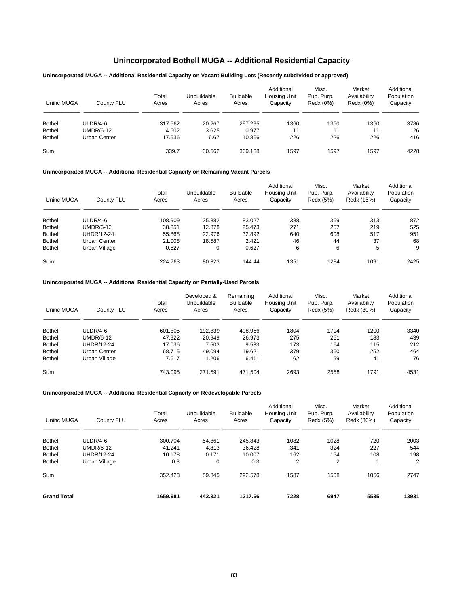# **Unincorporated Bothell MUGA -- Additional Residential Capacity**

# **Unincorporated MUGA -- Additional Residential Capacity on Vacant Building Lots (Recently subdivided or approved)**

| Uninc MUGA     | County FLU   | Total<br>Acres | Unbuildable<br>Acres | <b>Buildable</b><br>Acres | Additional<br><b>Housing Unit</b><br>Capacity | Misc.<br>Pub. Purp.<br>Redx (0%) | Market<br>Availability<br>Redx (0%) | Additional<br>Population<br>Capacity |
|----------------|--------------|----------------|----------------------|---------------------------|-----------------------------------------------|----------------------------------|-------------------------------------|--------------------------------------|
| <b>Bothell</b> | ULDR/4-6     | 317.562        | 20.267               | 297.295                   | 1360                                          | 1360                             | 1360                                | 3786                                 |
| <b>Bothell</b> | UMDR/6-12    | 4.602          | 3.625                | 0.977                     | 11                                            | 11                               | 11                                  | 26                                   |
| <b>Bothell</b> | Urban Center | 17.536         | 6.67                 | 10.866                    | 226                                           | 226                              | 226                                 | 416                                  |
| Sum            |              | 339.7          | 30.562               | 309.138                   | 1597                                          | 1597                             | 1597                                | 4228                                 |

### **Unincorporated MUGA -- Additional Residential Capacity on Remaining Vacant Parcels**

| Uninc MUGA     | County FLU        | Total<br>Acres | Unbuildable<br>Acres | <b>Buildable</b><br>Acres | Additional<br>Housing Unit<br>Capacity | Misc.<br>Pub. Purp.<br>Redx (5%) | Market<br>Availability<br>Redx (15%) | Additional<br>Population<br>Capacity |
|----------------|-------------------|----------------|----------------------|---------------------------|----------------------------------------|----------------------------------|--------------------------------------|--------------------------------------|
| <b>Bothell</b> | ULDR/4-6          | 108.909        | 25.882               | 83.027                    | 388                                    | 369                              | 313                                  | 872                                  |
| <b>Bothell</b> | UMDR/6-12         | 38.351         | 12.878               | 25.473                    | 271                                    | 257                              | 219                                  | 525                                  |
| <b>Bothell</b> | <b>UHDR/12-24</b> | 55.868         | 22.976               | 32.892                    | 640                                    | 608                              | 517                                  | 951                                  |
| <b>Bothell</b> | Urban Center      | 21.008         | 18.587               | 2.421                     | 46                                     | 44                               | 37                                   | 68                                   |
| <b>Bothell</b> | Urban Village     | 0.627          | 0                    | 0.627                     | 6                                      | 6                                | 5                                    | 9                                    |
| Sum            |                   | 224.763        | 80.323               | 144.44                    | 1351                                   | 1284                             | 1091                                 | 2425                                 |

# **Unincorporated MUGA -- Additional Residential Capacity on Partially-Used Parcels**

| Uninc MUGA     | County FLU        | Total<br>Acres | Developed &<br>Unbuildable<br>Acres | Remaining<br><b>Buildable</b><br>Acres | Additional<br>Housing Unit<br>Capacity | Misc.<br>Pub. Purp.<br>Redx (5%) | Market<br>Availability<br>Redx (30%) | Additional<br>Population<br>Capacity |
|----------------|-------------------|----------------|-------------------------------------|----------------------------------------|----------------------------------------|----------------------------------|--------------------------------------|--------------------------------------|
| <b>Bothell</b> | $ULDR/4-6$        | 601.805        | 192.839                             | 408.966                                | 1804                                   | 1714                             | 1200                                 | 3340                                 |
| <b>Bothell</b> | <b>UMDR/6-12</b>  | 47.922         | 20.949                              | 26.973                                 | 275                                    | 261                              | 183                                  | 439                                  |
| <b>Bothell</b> | <b>UHDR/12-24</b> | 17.036         | 7.503                               | 9.533                                  | 173                                    | 164                              | 115                                  | 212                                  |
| <b>Bothell</b> | Urban Center      | 68.715         | 49.094                              | 19.621                                 | 379                                    | 360                              | 252                                  | 464                                  |
| <b>Bothell</b> | Urban Village     | 7.617          | 1.206                               | 6.411                                  | 62                                     | 59                               | 41                                   | 76                                   |
| Sum            |                   | 743.095        | 271.591                             | 471.504                                | 2693                                   | 2558                             | 1791                                 | 4531                                 |

| Uninc MUGA         | County FLU       | Total<br>Acres | Unbuildable<br>Acres | <b>Buildable</b><br>Acres | Additional<br><b>Housing Unit</b><br>Capacity | Misc.<br>Pub. Purp.<br>Redx (5%) | Market<br>Availability<br>Redx (30%) | Additional<br>Population<br>Capacity |
|--------------------|------------------|----------------|----------------------|---------------------------|-----------------------------------------------|----------------------------------|--------------------------------------|--------------------------------------|
| <b>Bothell</b>     | $ULDR/4-6$       | 300.704        | 54.861               | 245.843                   | 1082                                          | 1028                             | 720                                  | 2003                                 |
| <b>Bothell</b>     | <b>UMDR/6-12</b> | 41.241         | 4.813                | 36.428                    | 341                                           | 324                              | 227                                  | 544                                  |
| <b>Bothell</b>     | UHDR/12-24       | 10.178         | 0.171                | 10.007                    | 162                                           | 154                              | 108                                  | 198                                  |
| <b>Bothell</b>     | Urban Village    | 0.3            | $\mathbf 0$          | 0.3                       | 2                                             | $\overline{2}$                   |                                      | $\overline{2}$                       |
| Sum                |                  | 352.423        | 59.845               | 292.578                   | 1587                                          | 1508                             | 1056                                 | 2747                                 |
| <b>Grand Total</b> |                  | 1659.981       | 442.321              | 1217.66                   | 7228                                          | 6947                             | 5535                                 | 13931                                |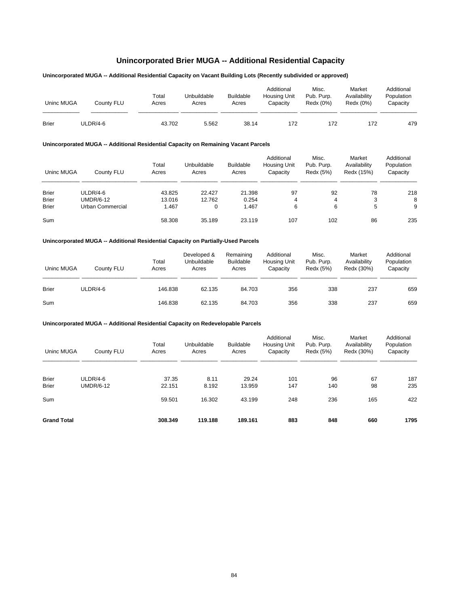# **Unincorporated Brier MUGA -- Additional Residential Capacity**

# **Unincorporated MUGA -- Additional Residential Capacity on Vacant Building Lots (Recently subdivided or approved)**

| Uninc MUGA   | Countv FLU | Total<br>Acres | Unbuildable<br>Acres | <b>Buildable</b><br>Acres | Additional<br>Housing Unit<br>Capacity | Misc.<br>Pub. Purp.<br>Redx (0%) | Market<br>Availability<br>Redx (0%) | Additional<br>Population<br>Capacity |
|--------------|------------|----------------|----------------------|---------------------------|----------------------------------------|----------------------------------|-------------------------------------|--------------------------------------|
| <b>Brier</b> | ULDR/4-6   | 43.702         | 5.562                | 38.14                     | 172                                    | 172                              | 172                                 | 479                                  |

# **Unincorporated MUGA -- Additional Residential Capacity on Remaining Vacant Parcels**

| Uninc MUGA   | County FLU       | Total<br>Acres | Unbuildable<br>Acres | Buildable<br>Acres | Additional<br><b>Housing Unit</b><br>Capacity | Misc.<br>Pub. Purp.<br>Redx (5%) | Market<br>Availability<br>Redx (15%) | Additional<br>Population<br>Capacity |
|--------------|------------------|----------------|----------------------|--------------------|-----------------------------------------------|----------------------------------|--------------------------------------|--------------------------------------|
| <b>Brier</b> | ULDR/4-6         | 43.825         | 22.427               | 21.398             | 97                                            | 92                               | 78                                   | 218                                  |
| <b>Brier</b> | <b>UMDR/6-12</b> | 13.016         | 12.762               | 0.254              | 4                                             | 4                                | 3                                    | 8                                    |
| <b>Brier</b> | Urban Commercial | 1.467          | 0                    | 1.467              | 6                                             | 6                                | 5                                    | 9                                    |
| Sum          |                  | 58.308         | 35.189               | 23.119             | 107                                           | 102                              | 86                                   | 235                                  |

### **Unincorporated MUGA -- Additional Residential Capacity on Partially-Used Parcels**

| Uninc MUGA   | County FLU | Total<br>Acres | Developed &<br>Unbuildable<br>Acres | Remaining<br><b>Buildable</b><br>Acres | Additional<br><b>Housing Unit</b><br>Capacity | Misc.<br>Pub. Purp.<br>Redx (5%) | Market<br>Availability<br>Redx (30%) | Additional<br>Population<br>Capacity |
|--------------|------------|----------------|-------------------------------------|----------------------------------------|-----------------------------------------------|----------------------------------|--------------------------------------|--------------------------------------|
| <b>Brier</b> | ULDR/4-6   | 146.838        | 62.135                              | 84.703                                 | 356                                           | 338                              | 237                                  | 659                                  |
| Sum          |            | 146.838        | 62.135                              | 84.703                                 | 356                                           | 338                              | 237                                  | 659                                  |

| Uninc MUGA                   | County FLU                   | Total<br>Acres  | Unbuildable<br>Acres | <b>Buildable</b><br>Acres | Additional<br><b>Housing Unit</b><br>Capacity | Misc.<br>Pub. Purp.<br>Redx (5%) | Market<br>Availability<br>Redx (30%) | Additional<br>Population<br>Capacity |
|------------------------------|------------------------------|-----------------|----------------------|---------------------------|-----------------------------------------------|----------------------------------|--------------------------------------|--------------------------------------|
| <b>Brier</b><br><b>Brier</b> | ULDR/4-6<br><b>UMDR/6-12</b> | 37.35<br>22.151 | 8.11<br>8.192        | 29.24<br>13.959           | 101<br>147                                    | 96<br>140                        | 67<br>98                             | 187<br>235                           |
| Sum                          |                              | 59.501          | 16.302               | 43.199                    | 248                                           | 236                              | 165                                  | 422                                  |
| <b>Grand Total</b>           |                              | 308.349         | 119.188              | 189.161                   | 883                                           | 848                              | 660                                  | 1795                                 |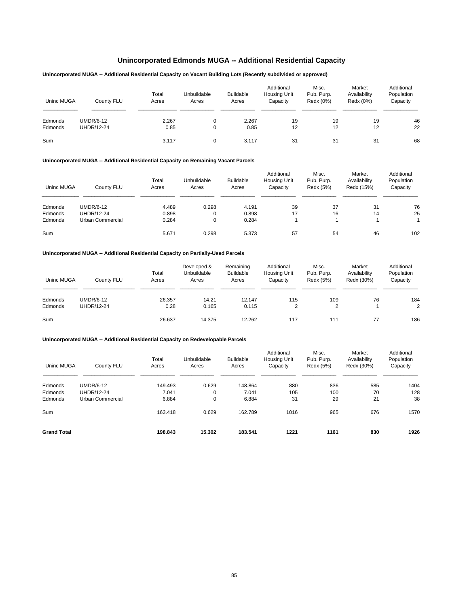# **Unincorporated Edmonds MUGA -- Additional Residential Capacity**

## **Unincorporated MUGA -- Additional Residential Capacity on Vacant Building Lots (Recently subdivided or approved)**

| Uninc MUGA         | County FLU                            | Total<br>Acres | Unbuildable<br>Acres | <b>Buildable</b><br>Acres | Additional<br><b>Housing Unit</b><br>Capacity | Misc.<br>Pub. Purp.<br>Redx (0%) | Market<br>Availability<br>Redx (0%) | Additional<br>Population<br>Capacity |
|--------------------|---------------------------------------|----------------|----------------------|---------------------------|-----------------------------------------------|----------------------------------|-------------------------------------|--------------------------------------|
| Edmonds<br>Edmonds | <b>UMDR/6-12</b><br><b>UHDR/12-24</b> | 2.267<br>0.85  | 0<br>0               | 2.267<br>0.85             | 19<br>12                                      | 19<br>12                         | 19<br>12                            | 46<br>22                             |
| Sum                |                                       | 3.117          | $\Omega$             | 3.117                     | 31                                            | 31                               | 31                                  | 68                                   |

# **Unincorporated MUGA -- Additional Residential Capacity on Remaining Vacant Parcels**

| Uninc MUGA | County FLU        | Total<br>Acres | Unbuildable<br>Acres | <b>Buildable</b><br>Acres | Additional<br>Housing Unit<br>Capacity | Misc.<br>Pub. Purp.<br>Redx (5%) | Market<br>Availability<br>Redx (15%) | Additional<br>Population<br>Capacity |
|------------|-------------------|----------------|----------------------|---------------------------|----------------------------------------|----------------------------------|--------------------------------------|--------------------------------------|
| Edmonds    | <b>UMDR/6-12</b>  | 4.489          | 0.298                | 4.191                     | 39                                     | 37                               | 31                                   | 76                                   |
| Edmonds    | <b>UHDR/12-24</b> | 0.898          | 0                    | 0.898                     | 17                                     | 16                               | 14                                   | 25                                   |
| Edmonds    | Urban Commercial  | 0.284          | 0                    | 0.284                     |                                        |                                  |                                      |                                      |
| Sum        |                   | 5.671          | 0.298                | 5.373                     | 57                                     | 54                               | 46                                   | 102                                  |

### **Unincorporated MUGA -- Additional Residential Capacity on Partially-Used Parcels**

| Uninc MUGA | County FLU        | Total<br>Acres | Developed &<br>Unbuildable<br>Acres | Remaining<br><b>Buildable</b><br>Acres | Additional<br>Housing Unit<br>Capacity | Misc.<br>Pub. Purp.<br>Redx (5%) | Market<br>Availability<br>Redx (30%) | Additional<br>Population<br>Capacity |
|------------|-------------------|----------------|-------------------------------------|----------------------------------------|----------------------------------------|----------------------------------|--------------------------------------|--------------------------------------|
| Edmonds    | <b>UMDR/6-12</b>  | 26.357         | 14.21                               | 12.147                                 | 115                                    | 109                              | 76                                   | 184                                  |
| Edmonds    | <b>UHDR/12-24</b> | 0.28           | 0.165                               | 0.115                                  | ົ                                      | ◠                                |                                      | 2                                    |
| Sum        |                   | 26.637         | 14.375                              | 12.262                                 | 117                                    | 111                              | 77                                   | 186                                  |

| Uninc MUGA         | County FLU        | Total<br>Acres | Unbuildable<br>Acres | <b>Buildable</b><br>Acres | Additional<br>Housing Unit<br>Capacity | Misc.<br>Pub. Purp.<br>Redx (5%) | Market<br>Availability<br>Redx (30%) | Additional<br>Population<br>Capacity |
|--------------------|-------------------|----------------|----------------------|---------------------------|----------------------------------------|----------------------------------|--------------------------------------|--------------------------------------|
| Edmonds            | <b>UMDR/6-12</b>  | 149.493        | 0.629                | 148.864                   | 880                                    | 836                              | 585                                  | 1404                                 |
| Edmonds            | <b>UHDR/12-24</b> | 7.041          | 0                    | 7.041                     | 105                                    | 100                              | 70                                   | 128                                  |
| Edmonds            | Urban Commercial  | 6.884          | 0                    | 6.884                     | 31                                     | 29                               | 21                                   | 38                                   |
| Sum                |                   | 163.418        | 0.629                | 162.789                   | 1016                                   | 965                              | 676                                  | 1570                                 |
| <b>Grand Total</b> |                   | 198.843        | 15.302               | 183.541                   | 1221                                   | 1161                             | 830                                  | 1926                                 |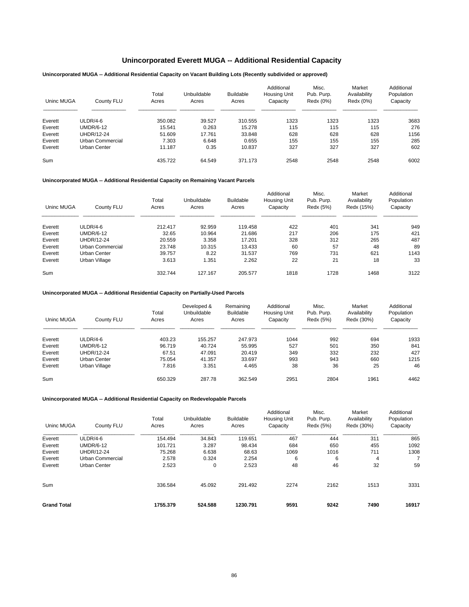# **Unincorporated Everett MUGA -- Additional Residential Capacity**

## **Unincorporated MUGA -- Additional Residential Capacity on Vacant Building Lots (Recently subdivided or approved)**

| Uninc MUGA | County FLU       | Total<br>Acres | Unbuildable<br>Acres | <b>Buildable</b><br>Acres | Additional<br>Housing Unit<br>Capacity | Misc.<br>Pub. Purp.<br>Redx (0%) | Market<br>Availability<br>Redx (0%) | Additional<br>Population<br>Capacity |
|------------|------------------|----------------|----------------------|---------------------------|----------------------------------------|----------------------------------|-------------------------------------|--------------------------------------|
| Everett    | ULDR/4-6         | 350.082        | 39.527               | 310.555                   | 1323                                   | 1323                             | 1323                                | 3683                                 |
| Everett    | <b>UMDR/6-12</b> | 15.541         | 0.263                | 15.278                    | 115                                    | 115                              | 115                                 | 276                                  |
| Everett    | UHDR/12-24       | 51.609         | 17.761               | 33.848                    | 628                                    | 628                              | 628                                 | 1156                                 |
| Everett    | Urban Commercial | 7.303          | 6.648                | 0.655                     | 155                                    | 155                              | 155                                 | 285                                  |
| Everett    | Urban Center     | 11.187         | 0.35                 | 10.837                    | 327                                    | 327                              | 327                                 | 602                                  |
| Sum        |                  | 435.722        | 64.549               | 371.173                   | 2548                                   | 2548                             | 2548                                | 6002                                 |

### **Unincorporated MUGA -- Additional Residential Capacity on Remaining Vacant Parcels**

| Uninc MUGA | County FLU        | Total<br>Acres | Unbuildable<br>Acres | <b>Buildable</b><br>Acres | Additional<br>Housing Unit<br>Capacity | Misc.<br>Pub. Purp.<br>Redx (5%) | Market<br>Availability<br>Redx (15%) | Additional<br>Population<br>Capacity |
|------------|-------------------|----------------|----------------------|---------------------------|----------------------------------------|----------------------------------|--------------------------------------|--------------------------------------|
| Everett    | $ULDR/4-6$        | 212.417        | 92.959               | 119.458                   | 422                                    | 401                              | 341                                  | 949                                  |
| Everett    | <b>UMDR/6-12</b>  | 32.65          | 10.964               | 21.686                    | 217                                    | 206                              | 175                                  | 421                                  |
| Everett    | <b>UHDR/12-24</b> | 20.559         | 3.358                | 17.201                    | 328                                    | 312                              | 265                                  | 487                                  |
| Everett    | Urban Commercial  | 23.748         | 10.315               | 13.433                    | 60                                     | 57                               | 48                                   | 89                                   |
| Everett    | Urban Center      | 39.757         | 8.22                 | 31.537                    | 769                                    | 731                              | 621                                  | 1143                                 |
| Everett    | Urban Village     | 3.613          | 1.351                | 2.262                     | 22                                     | 21                               | 18                                   | 33                                   |
| Sum        |                   | 332.744        | 127.167              | 205.577                   | 1818                                   | 1728                             | 1468                                 | 3122                                 |

### **Unincorporated MUGA -- Additional Residential Capacity on Partially-Used Parcels**

| Uninc MUGA | County FLU       | Total<br>Acres | Developed &<br>Unbuildable<br>Acres | Remaining<br><b>Buildable</b><br>Acres | Additional<br>Housing Unit<br>Capacity | Misc.<br>Pub. Purp.<br>Redx (5%) | Market<br>Availability<br>Redx (30%) | Additional<br>Population<br>Capacity |
|------------|------------------|----------------|-------------------------------------|----------------------------------------|----------------------------------------|----------------------------------|--------------------------------------|--------------------------------------|
| Everett    | ULDR/4-6         | 403.23         | 155.257                             | 247.973                                | 1044                                   | 992                              | 694                                  | 1933                                 |
| Everett    | <b>UMDR/6-12</b> | 96.719         | 40.724                              | 55.995                                 | 527                                    | 501                              | 350                                  | 841                                  |
| Everett    | UHDR/12-24       | 67.51          | 47.091                              | 20.419                                 | 349                                    | 332                              | 232                                  | 427                                  |
| Everett    | Urban Center     | 75.054         | 41.357                              | 33.697                                 | 993                                    | 943                              | 660                                  | 1215                                 |
| Everett    | Urban Village    | 7.816          | 3.351                               | 4.465                                  | 38                                     | 36                               | 25                                   | 46                                   |
| Sum        |                  | 650.329        | 287.78                              | 362.549                                | 2951                                   | 2804                             | 1961                                 | 4462                                 |

| Uninc MUGA         | County FLU        | Total<br>Acres | Unbuildable<br>Acres | <b>Buildable</b><br>Acres | Additional<br><b>Housing Unit</b><br>Capacity | Misc.<br>Pub. Purp.<br>Redx (5%) | Market<br>Availability<br>Redx (30%) | Additional<br>Population<br>Capacity |
|--------------------|-------------------|----------------|----------------------|---------------------------|-----------------------------------------------|----------------------------------|--------------------------------------|--------------------------------------|
| Everett            | $ULDR/4-6$        | 154.494        | 34.843               | 119.651                   | 467                                           | 444                              | 311                                  | 865                                  |
| Everett            | <b>UMDR/6-12</b>  | 101.721        | 3.287                | 98.434                    | 684                                           | 650                              | 455                                  | 1092                                 |
| Everett            | <b>UHDR/12-24</b> | 75.268         | 6.638                | 68.63                     | 1069                                          | 1016                             | 711                                  | 1308                                 |
| Everett            | Urban Commercial  | 2.578          | 0.324                | 2.254                     | 6                                             | 6                                | 4                                    |                                      |
| Everett            | Urban Center      | 2.523          | 0                    | 2.523                     | 48                                            | 46                               | 32                                   | 59                                   |
| Sum                |                   | 336.584        | 45.092               | 291.492                   | 2274                                          | 2162                             | 1513                                 | 3331                                 |
| <b>Grand Total</b> |                   | 1755.379       | 524.588              | 1230.791                  | 9591                                          | 9242                             | 7490                                 | 16917                                |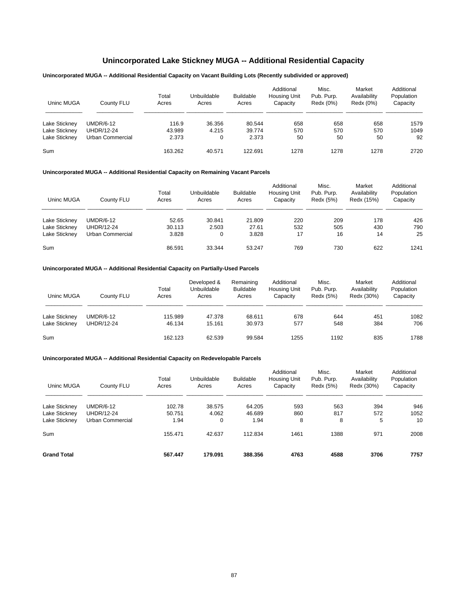# **Unincorporated Lake Stickney MUGA -- Additional Residential Capacity**

# **Unincorporated MUGA -- Additional Residential Capacity on Vacant Building Lots (Recently subdivided or approved)**

| Uninc MUGA    | County FLU        | Total<br>Acres | Unbuildable<br>Acres | <b>Buildable</b><br>Acres | Additional<br>Housing Unit<br>Capacity | Misc.<br>Pub. Purp.<br>Redx (0%) | Market<br>Availability<br>Redx (0%) | Additional<br>Population<br>Capacity |
|---------------|-------------------|----------------|----------------------|---------------------------|----------------------------------------|----------------------------------|-------------------------------------|--------------------------------------|
| Lake Stickney | <b>UMDR/6-12</b>  | 116.9          | 36.356               | 80.544                    | 658                                    | 658                              | 658                                 | 1579                                 |
| Lake Stickney | <b>UHDR/12-24</b> | 43.989         | 4.215                | 39.774                    | 570                                    | 570                              | 570                                 | 1049                                 |
| Lake Stickney | Urban Commercial  | 2.373          | 0                    | 2.373                     | 50                                     | 50                               | 50                                  | 92                                   |
| Sum           |                   | 163.262        | 40.571               | 122.691                   | 1278                                   | 1278                             | 1278                                | 2720                                 |

### **Unincorporated MUGA -- Additional Residential Capacity on Remaining Vacant Parcels**

| Uninc MUGA    | County FLU              | Total<br>Acres | Unbuildable<br>Acres | <b>Buildable</b><br>Acres | Additional<br><b>Housing Unit</b><br>Capacity | Misc.<br>Pub. Purp.<br>Redx (5%) | Market<br>Availability<br>Redx (15%) | Additional<br>Population<br>Capacity |
|---------------|-------------------------|----------------|----------------------|---------------------------|-----------------------------------------------|----------------------------------|--------------------------------------|--------------------------------------|
| Lake Stickney | UMDR/6-12               | 52.65          | 30.841               | 21.809                    | 220                                           | 209                              | 178                                  | 426                                  |
| Lake Stickney | <b>UHDR/12-24</b>       | 30.113         | 2.503                | 27.61                     | 532                                           | 505                              | 430                                  | 790                                  |
| Lake Stickney | <b>Urban Commercial</b> | 3.828          | 0                    | 3.828                     | 17                                            | 16                               | 14                                   | 25                                   |
| Sum           |                         | 86.591         | 33.344               | 53.247                    | 769                                           | 730                              | 622                                  | 1241                                 |

### **Unincorporated MUGA -- Additional Residential Capacity on Partially-Used Parcels**

| Uninc MUGA    | County FLU        | Total<br>Acres | Developed &<br>Unbuildable<br>Acres | Remaining<br><b>Buildable</b><br>Acres | Additional<br>Housing Unit<br>Capacity | Misc.<br>Pub. Purp.<br>Redx (5%) | Market<br>Availability<br>Redx (30%) | Additional<br>Population<br>Capacity |
|---------------|-------------------|----------------|-------------------------------------|----------------------------------------|----------------------------------------|----------------------------------|--------------------------------------|--------------------------------------|
| Lake Stickney | <b>UMDR/6-12</b>  | 115.989        | 47.378                              | 68.611                                 | 678                                    | 644                              | 451                                  | 1082                                 |
| Lake Stickney | <b>UHDR/12-24</b> | 46.134         | 15.161                              | 30.973                                 | 577                                    | 548                              | 384                                  | 706                                  |
| Sum           |                   | 162.123        | 62.539                              | 99.584                                 | 1255                                   | 1192                             | 835                                  | 1788                                 |

| Uninc MUGA         | County FLU        | Total<br>Acres | Unbuildable<br>Acres | <b>Buildable</b><br>Acres | Additional<br>Housing Unit<br>Capacity | Misc.<br>Pub. Purp.<br>Redx (5%) | Market<br>Availability<br>Redx (30%) | Additional<br>Population<br>Capacity |
|--------------------|-------------------|----------------|----------------------|---------------------------|----------------------------------------|----------------------------------|--------------------------------------|--------------------------------------|
| Lake Stickney      | <b>UMDR/6-12</b>  | 102.78         | 38.575               | 64.205                    | 593                                    | 563                              | 394                                  | 946                                  |
| Lake Stickney      | <b>UHDR/12-24</b> | 50.751         | 4.062                | 46.689                    | 860                                    | 817                              | 572                                  | 1052                                 |
| Lake Stickney      | Urban Commercial  | 1.94           | 0                    | 1.94                      | 8                                      | 8                                | 5                                    | 10                                   |
| Sum                |                   | 155.471        | 42.637               | 112.834                   | 1461                                   | 1388                             | 971                                  | 2008                                 |
| <b>Grand Total</b> |                   | 567.447        | 179.091              | 388.356                   | 4763                                   | 4588                             | 3706                                 | 7757                                 |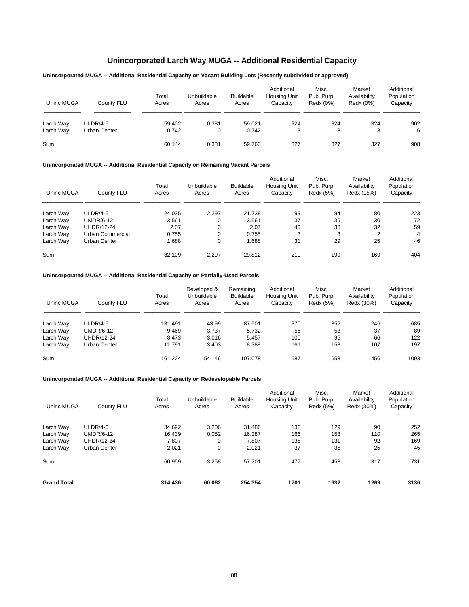# **Unincorporated Larch Way MUGA -- Additional Residential Capacity**

# **Unincorporated MUGA -- Additional Residential Capacity on Vacant Building Lots (Recently subdivided or approved)**

| Uninc MUGA | County FLU   | Total<br>Acres | Unbuildable<br>Acres | <b>Buildable</b><br>Acres | Additional<br><b>Housing Unit</b><br>Capacity | Misc.<br>Pub. Purp.<br>Redx (0%) | Market<br>Availability<br>Redx (0%) | Additional<br>Population<br>Capacity |
|------------|--------------|----------------|----------------------|---------------------------|-----------------------------------------------|----------------------------------|-------------------------------------|--------------------------------------|
| Larch Way  | $ULDR/4-6$   | 59.402         | 0.381                | 59.021                    | 324                                           | 324                              | 324                                 | 902                                  |
| Larch Way  | Urban Center | 0.742          | 0                    | 0.742                     | 3                                             | 3                                | 3                                   | 6                                    |
| Sum        |              | 60.144         | 0.381                | 59.763                    | 327                                           | 327                              | 327                                 | 908                                  |

## **Unincorporated MUGA -- Additional Residential Capacity on Remaining Vacant Parcels**

| Uninc MUGA | County FLU       | Total<br>Acres | Unbuildable<br>Acres | <b>Buildable</b><br>Acres | Additional<br>Housing Unit<br>Capacity | Misc.<br>Pub. Purp.<br>Redx (5%) | Market<br>Availability<br>Redx (15%) | Additional<br>Population<br>Capacity |
|------------|------------------|----------------|----------------------|---------------------------|----------------------------------------|----------------------------------|--------------------------------------|--------------------------------------|
| Larch Way  | $ULDR/4-6$       | 24.035         | 2.297                | 21.738                    | 99                                     | 94                               | 80                                   | 223                                  |
| Larch Way  | UMDR/6-12        | 3.561          |                      | 3.561                     | 37                                     | 35                               | 30                                   | 72                                   |
| Larch Way  | UHDR/12-24       | 2.07           |                      | 2.07                      | 40                                     | 38                               | 32                                   | 59                                   |
| Larch Way  | Urban Commercial | 0.755          |                      | 0.755                     | 3                                      | 3                                | $\overline{2}$                       | 4                                    |
| Larch Way  | Urban Center     | 1.688          | 0                    | 1.688                     | 31                                     | 29                               | 25                                   | 46                                   |
| Sum        |                  | 32.109         | 2.297                | 29.812                    | 210                                    | 199                              | 169                                  | 404                                  |

### **Unincorporated MUGA -- Additional Residential Capacity on Partially-Used Parcels**

| Uninc MUGA | County FLU       | Total<br>Acres | Developed &<br>Unbuildable<br>Acres | Remaining<br><b>Buildable</b><br>Acres | Additional<br>Housing Unit<br>Capacity | Misc.<br>Pub. Purp.<br>Redx (5%) | Market<br>Availability<br>Redx (30%) | Additional<br>Population<br>Capacity |
|------------|------------------|----------------|-------------------------------------|----------------------------------------|----------------------------------------|----------------------------------|--------------------------------------|--------------------------------------|
| Larch Way  | ULDR/4-6         | 131.491        | 43.99                               | 87.501                                 | 370                                    | 352                              | 246                                  | 685                                  |
| Larch Way  | <b>UMDR/6-12</b> | 9.469          | 3.737                               | 5.732                                  | 56                                     | 53                               | 37                                   | 89                                   |
| Larch Way  | UHDR/12-24       | 8.473          | 3.016                               | 5.457                                  | 100                                    | 95                               | 66                                   | 122                                  |
| Larch Way  | Urban Center     | 11.791         | 3.403                               | 8.388                                  | 161                                    | 153                              | 107                                  | 197                                  |
| Sum        |                  | 161.224        | 54.146                              | 107.078                                | 687                                    | 653                              | 456                                  | 1093                                 |

| Uninc MUGA         | County FLU          | Total<br>Acres | Unbuildable<br>Acres | <b>Buildable</b><br>Acres | Additional<br><b>Housing Unit</b><br>Capacity | Misc.<br>Pub. Purp.<br>Redx (5%) | Market<br>Availability<br>Redx (30%) | Additional<br>Population<br>Capacity |
|--------------------|---------------------|----------------|----------------------|---------------------------|-----------------------------------------------|----------------------------------|--------------------------------------|--------------------------------------|
| Larch Way          | $ULDR/4-6$          | 34.692         | 3.206                | 31.486                    | 136                                           | 129                              | 90                                   | 252                                  |
| Larch Way          | <b>UMDR/6-12</b>    | 16.439         | 0.052                | 16.387                    | 166                                           | 158                              | 110                                  | 265                                  |
| Larch Way          | <b>UHDR/12-24</b>   | 7.807          | 0                    | 7.807                     | 138                                           | 131                              | 92                                   | 169                                  |
| Larch Way          | <b>Urban Center</b> | 2.021          | 0                    | 2.021                     | 37                                            | 35                               | 25                                   | 45                                   |
| Sum                |                     | 60.959         | 3.258                | 57.701                    | 477                                           | 453                              | 317                                  | 731                                  |
| <b>Grand Total</b> |                     | 314.436        | 60.082               | 254.354                   | 1701                                          | 1632                             | 1269                                 | 3136                                 |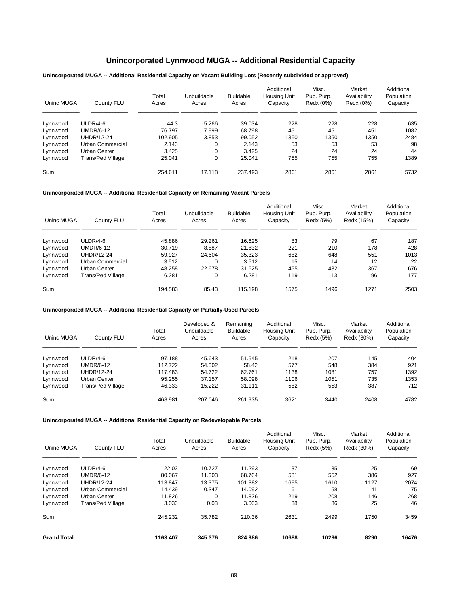# **Unincorporated Lynnwood MUGA -- Additional Residential Capacity**

# **Unincorporated MUGA -- Additional Residential Capacity on Vacant Building Lots (Recently subdivided or approved)**

| Uninc MUGA | County FLU        | Total<br>Acres | Unbuildable<br>Acres | <b>Buildable</b><br>Acres | Additional<br><b>Housing Unit</b><br>Capacity | Misc.<br>Pub. Purp.<br>Redx (0%) | Market<br>Availability<br>Redx (0%) | Additional<br>Population<br>Capacity |
|------------|-------------------|----------------|----------------------|---------------------------|-----------------------------------------------|----------------------------------|-------------------------------------|--------------------------------------|
| Lynnwood   | $ULDR/4-6$        | 44.3           | 5.266                | 39.034                    | 228                                           | 228                              | 228                                 | 635                                  |
| Lynnwood   | <b>UMDR/6-12</b>  | 76.797         | 7.999                | 68.798                    | 451                                           | 451                              | 451                                 | 1082                                 |
| Lynnwood   | UHDR/12-24        | 102.905        | 3.853                | 99.052                    | 1350                                          | 1350                             | 1350                                | 2484                                 |
| Lynnwood   | Urban Commercial  | 2.143          | 0                    | 2.143                     | 53                                            | 53                               | 53                                  | 98                                   |
| Lynnwood   | Urban Center      | 3.425          | 0                    | 3.425                     | 24                                            | 24                               | 24                                  | 44                                   |
| Lynnwood   | Trans/Ped Village | 25.041         | 0                    | 25.041                    | 755                                           | 755                              | 755                                 | 1389                                 |
| Sum        |                   | 254.611        | 17.118               | 237.493                   | 2861                                          | 2861                             | 2861                                | 5732                                 |

## **Unincorporated MUGA -- Additional Residential Capacity on Remaining Vacant Parcels**

| Uninc MUGA | County FLU        | Total<br>Acres | Unbuildable<br>Acres | <b>Buildable</b><br>Acres | Additional<br><b>Housing Unit</b><br>Capacity | Misc.<br>Pub. Purp.<br>Redx (5%) | Market<br>Availability<br>Redx (15%) | Additional<br>Population<br>Capacity |
|------------|-------------------|----------------|----------------------|---------------------------|-----------------------------------------------|----------------------------------|--------------------------------------|--------------------------------------|
| Lynnwood   | $ULDR/4-6$        | 45.886         | 29.261               | 16.625                    | 83                                            | 79                               | 67                                   | 187                                  |
| Lynnwood   | <b>UMDR/6-12</b>  | 30.719         | 8.887                | 21.832                    | 221                                           | 210                              | 178                                  | 428                                  |
| Lynnwood   | <b>UHDR/12-24</b> | 59.927         | 24.604               | 35.323                    | 682                                           | 648                              | 551                                  | 1013                                 |
| Lynnwood   | Urban Commercial  | 3.512          | $\Omega$             | 3.512                     | 15                                            | 14                               | 12                                   | 22                                   |
| Lynnwood   | Urban Center      | 48.258         | 22.678               | 31.625                    | 455                                           | 432                              | 367                                  | 676                                  |
| Lynnwood   | Trans/Ped Village | 6.281          | 0                    | 6.281                     | 119                                           | 113                              | 96                                   | 177                                  |
| Sum        |                   | 194.583        | 85.43                | 115.198                   | 1575                                          | 1496                             | 1271                                 | 2503                                 |

### **Unincorporated MUGA -- Additional Residential Capacity on Partially-Used Parcels**

| Uninc MUGA | County FLU        | Total<br>Acres | Developed &<br>Unbuildable<br>Acres | Remaining<br><b>Buildable</b><br>Acres | Additional<br><b>Housing Unit</b><br>Capacity | Misc.<br>Pub. Purp.<br>Redx (5%) | Market<br>Availability<br>Redx (30%) | Additional<br>Population<br>Capacity |
|------------|-------------------|----------------|-------------------------------------|----------------------------------------|-----------------------------------------------|----------------------------------|--------------------------------------|--------------------------------------|
| Lynnwood   | $ULDR/4-6$        | 97.188         | 45.643                              | 51.545                                 | 218                                           | 207                              | 145                                  | 404                                  |
| Lynnwood   | <b>UMDR/6-12</b>  | 112.722        | 54.302                              | 58.42                                  | 577                                           | 548                              | 384                                  | 921                                  |
| Lynnwood   | UHDR/12-24        | 117.483        | 54.722                              | 62.761                                 | 1138                                          | 1081                             | 757                                  | 1392                                 |
| Lynnwood   | Urban Center      | 95.255         | 37.157                              | 58.098                                 | 1106                                          | 1051                             | 735                                  | 1353                                 |
| Lynnwood   | Trans/Ped Village | 46.333         | 15.222                              | 31.111                                 | 582                                           | 553                              | 387                                  | 712                                  |
| Sum        |                   | 468.981        | 207.046                             | 261.935                                | 3621                                          | 3440                             | 2408                                 | 4782                                 |

| Uninc MUGA         | County FLU        | Total<br>Acres | Unbuildable<br>Acres | <b>Buildable</b><br>Acres | Additional<br><b>Housing Unit</b><br>Capacity | Misc.<br>Pub. Purp.<br>Redx (5%) | Market<br>Availability<br>Redx (30%) | Additional<br>Population<br>Capacity |
|--------------------|-------------------|----------------|----------------------|---------------------------|-----------------------------------------------|----------------------------------|--------------------------------------|--------------------------------------|
| Lynnwood           | $ULDR/4-6$        | 22.02          | 10.727               | 11.293                    | 37                                            | 35                               | 25                                   | 69                                   |
| Lynnwood           | <b>UMDR/6-12</b>  | 80.067         | 11.303               | 68.764                    | 581                                           | 552                              | 386                                  | 927                                  |
| Lynnwood           | <b>UHDR/12-24</b> | 113.847        | 13.375               | 101.382                   | 1695                                          | 1610                             | 1127                                 | 2074                                 |
| Lynnwood           | Urban Commercial  | 14.439         | 0.347                | 14.092                    | 61                                            | 58                               | 41                                   | 75                                   |
| Lynnwood           | Urban Center      | 11.826         | $\Omega$             | 11.826                    | 219                                           | 208                              | 146                                  | 268                                  |
| Lynnwood           | Trans/Ped Village | 3.033          | 0.03                 | 3.003                     | 38                                            | 36                               | 25                                   | 46                                   |
| Sum                |                   | 245.232        | 35.782               | 210.36                    | 2631                                          | 2499                             | 1750                                 | 3459                                 |
| <b>Grand Total</b> |                   | 1163.407       | 345.376              | 824.986                   | 10688                                         | 10296                            | 8290                                 | 16476                                |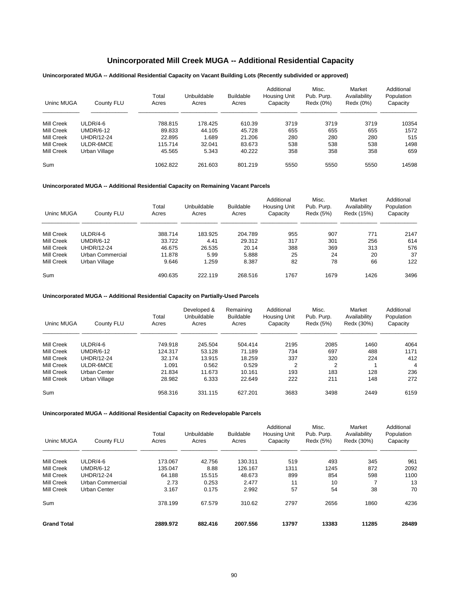# **Unincorporated Mill Creek MUGA -- Additional Residential Capacity**

# **Unincorporated MUGA -- Additional Residential Capacity on Vacant Building Lots (Recently subdivided or approved)**

| Uninc MUGA | County FLU       | Total<br>Acres | Unbuildable<br>Acres | <b>Buildable</b><br>Acres | Additional<br><b>Housing Unit</b><br>Capacity | Misc.<br>Pub. Purp.<br>Redx (0%) | Market<br>Availability<br>Redx (0%) | Additional<br>Population<br>Capacity |
|------------|------------------|----------------|----------------------|---------------------------|-----------------------------------------------|----------------------------------|-------------------------------------|--------------------------------------|
| Mill Creek | $ULDR/4-6$       | 788.815        | 178.425              | 610.39                    | 3719                                          | 3719                             | 3719                                | 10354                                |
| Mill Creek | <b>UMDR/6-12</b> | 89.833         | 44.105               | 45.728                    | 655                                           | 655                              | 655                                 | 1572                                 |
| Mill Creek | UHDR/12-24       | 22.895         | .689                 | 21.206                    | 280                                           | 280                              | 280                                 | 515                                  |
| Mill Creek | ULDR-6MCE        | 115.714        | 32.041               | 83.673                    | 538                                           | 538                              | 538                                 | 1498                                 |
| Mill Creek | Urban Village    | 45.565         | 5.343                | 40.222                    | 358                                           | 358                              | 358                                 | 659                                  |
| Sum        |                  | 1062.822       | 261.603              | 801.219                   | 5550                                          | 5550                             | 5550                                | 14598                                |

# **Unincorporated MUGA -- Additional Residential Capacity on Remaining Vacant Parcels**

| Uninc MUGA        | County FLU       | Total<br>Acres | Unbuildable<br>Acres | <b>Buildable</b><br>Acres | Additional<br><b>Housing Unit</b><br>Capacity | Misc.<br>Pub. Purp.<br>Redx (5%) | Market<br>Availability<br>Redx (15%) | Additional<br>Population<br>Capacity |
|-------------------|------------------|----------------|----------------------|---------------------------|-----------------------------------------------|----------------------------------|--------------------------------------|--------------------------------------|
| <b>Mill Creek</b> | $ULDR/4-6$       | 388.714        | 183.925              | 204.789                   | 955                                           | 907                              | 771                                  | 2147                                 |
| <b>Mill Creek</b> | <b>UMDR/6-12</b> | 33.722         | 4.41                 | 29.312                    | 317                                           | 301                              | 256                                  | 614                                  |
| Mill Creek        | UHDR/12-24       | 46.675         | 26.535               | 20.14                     | 388                                           | 369                              | 313                                  | 576                                  |
| Mill Creek        | Urban Commercial | 11.878         | 5.99                 | 5.888                     | 25                                            | 24                               | 20                                   | 37                                   |
| <b>Mill Creek</b> | Urban Village    | 9.646          | 1.259                | 8.387                     | 82                                            | 78                               | 66                                   | 122                                  |
| Sum               |                  | 490.635        | 222.119              | 268.516                   | 1767                                          | 1679                             | 1426                                 | 3496                                 |

# **Unincorporated MUGA -- Additional Residential Capacity on Partially-Used Parcels**

| Uninc MUGA        | County FLU        | Total<br>Acres | Developed &<br>Unbuildable<br>Acres | Remaining<br><b>Buildable</b><br>Acres | Additional<br>Housing Unit<br>Capacity | Misc.<br>Pub. Purp.<br>Redx (5%) | Market<br>Availability<br>Redx (30%) | Additional<br>Population<br>Capacity |
|-------------------|-------------------|----------------|-------------------------------------|----------------------------------------|----------------------------------------|----------------------------------|--------------------------------------|--------------------------------------|
| <b>Mill Creek</b> | $ULDR/4-6$        | 749.918        | 245.504                             | 504.414                                | 2195                                   | 2085                             | 1460                                 | 4064                                 |
| <b>Mill Creek</b> | <b>UMDR/6-12</b>  | 124.317        | 53.128                              | 71.189                                 | 734                                    | 697                              | 488                                  | 1171                                 |
| Mill Creek        | <b>UHDR/12-24</b> | 32.174         | 13.915                              | 18.259                                 | 337                                    | 320                              | 224                                  | 412                                  |
| Mill Creek        | ULDR-6MCE         | 1.091          | 0.562                               | 0.529                                  | $\overline{2}$                         | $\overline{2}$                   |                                      | 4                                    |
| Mill Creek        | Urban Center      | 21.834         | 11.673                              | 10.161                                 | 193                                    | 183                              | 128                                  | 236                                  |
| Mill Creek        | Urban Village     | 28.982         | 6.333                               | 22.649                                 | 222                                    | 211                              | 148                                  | 272                                  |
| Sum               |                   | 958.316        | 331.115                             | 627.201                                | 3683                                   | 3498                             | 2449                                 | 6159                                 |

| Uninc MUGA         | County FLU        | Total<br>Acres | Unbuildable<br>Acres | <b>Buildable</b><br>Acres | Additional<br><b>Housing Unit</b><br>Capacity | Misc.<br>Pub. Purp.<br>Redx (5%) | Market<br>Availability<br>Redx (30%) | Additional<br>Population<br>Capacity |
|--------------------|-------------------|----------------|----------------------|---------------------------|-----------------------------------------------|----------------------------------|--------------------------------------|--------------------------------------|
| <b>Mill Creek</b>  | $ULDR/4-6$        | 173.067        | 42.756               | 130.311                   | 519                                           | 493                              | 345                                  | 961                                  |
| Mill Creek         | $UMDR/6-12$       | 135.047        | 8.88                 | 126.167                   | 1311                                          | 1245                             | 872                                  | 2092                                 |
| Mill Creek         | <b>UHDR/12-24</b> | 64.188         | 15.515               | 48.673                    | 899                                           | 854                              | 598                                  | 1100                                 |
| Mill Creek         | Urban Commercial  | 2.73           | 0.253                | 2.477                     | 11                                            | 10                               |                                      | 13                                   |
| <b>Mill Creek</b>  | Urban Center      | 3.167          | 0.175                | 2.992                     | 57                                            | 54                               | 38                                   | 70                                   |
| Sum                |                   | 378.199        | 67.579               | 310.62                    | 2797                                          | 2656                             | 1860                                 | 4236                                 |
| <b>Grand Total</b> |                   | 2889.972       | 882.416              | 2007.556                  | 13797                                         | 13383                            | 11285                                | 28489                                |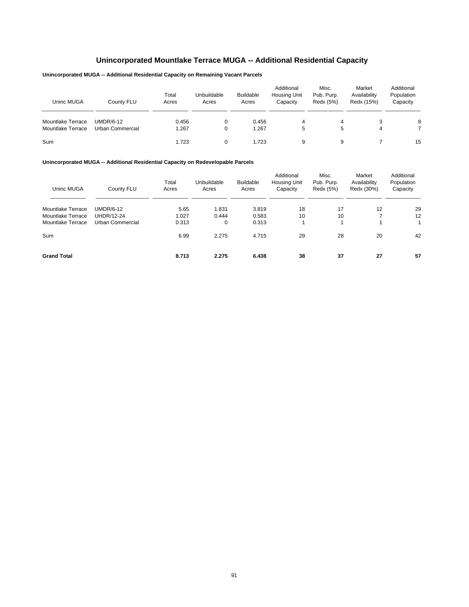# **Unincorporated Mountlake Terrace MUGA -- Additional Residential Capacity**

# **Unincorporated MUGA -- Additional Residential Capacity on Remaining Vacant Parcels**

| Uninc MUGA               | County FLU       | Total<br>Acres | Unbuildable<br>Acres | Buildable<br>Acres | Additional<br>Housing Unit<br>Capacity | Misc.<br>Pub. Purp.<br>Redx (5%) | Market<br>Availability<br>Redx (15%) | Additional<br>Population<br>Capacity |
|--------------------------|------------------|----------------|----------------------|--------------------|----------------------------------------|----------------------------------|--------------------------------------|--------------------------------------|
| <b>Mountlake Terrace</b> | <b>UMDR/6-12</b> | 0.456          |                      | 0.456              | 4                                      |                                  |                                      | 8                                    |
| <b>Mountlake Terrace</b> | Urban Commercial | 1.267          |                      | 1.267              | 5                                      | 5                                | 4                                    |                                      |
| Sum                      |                  | 1.723          |                      | 1.723              | 9                                      | 9                                |                                      | 15                                   |

| Uninc MUGA               | County FLU        | Total<br>Acres | Unbuildable<br>Acres | <b>Buildable</b><br>Acres | Additional<br>Housing Unit<br>Capacity | Misc.<br>Pub. Purp.<br>Redx (5%) | Market<br>Availability<br>Redx (30%) | Additional<br>Population<br>Capacity |
|--------------------------|-------------------|----------------|----------------------|---------------------------|----------------------------------------|----------------------------------|--------------------------------------|--------------------------------------|
| <b>Mountlake Terrace</b> | <b>UMDR/6-12</b>  | 5.65           | 1.831                | 3.819                     | 18                                     | 17                               | 12                                   | 29                                   |
| <b>Mountlake Terrace</b> | <b>UHDR/12-24</b> | 1.027          | 0.444                | 0.583                     | 10                                     | 10                               | $\overline{ }$                       | 12                                   |
| Mountlake Terrace        | Urban Commercial  | 0.313          | 0                    | 0.313                     |                                        |                                  |                                      | 1                                    |
| Sum                      |                   | 6.99           | 2.275                | 4.715                     | 29                                     | 28                               | 20                                   | 42                                   |
| <b>Grand Total</b>       |                   | 8.713          | 2.275                | 6.438                     | 38                                     | 37                               | 27                                   | 57                                   |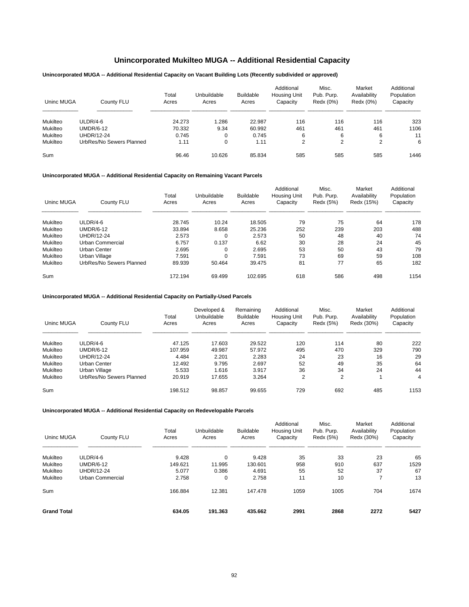# **Unincorporated Mukilteo MUGA -- Additional Residential Capacity**

### **Unincorporated MUGA -- Additional Residential Capacity on Vacant Building Lots (Recently subdivided or approved)**

| Uninc MUGA | County FLU               | Total<br>Acres | Unbuildable<br>Acres | <b>Buildable</b><br>Acres | Additional<br>Housing Unit<br>Capacity | Misc.<br>Pub. Purp.<br>Redx (0%) | Market<br>Availability<br>Redx (0%) | Additional<br>Population<br>Capacity |
|------------|--------------------------|----------------|----------------------|---------------------------|----------------------------------------|----------------------------------|-------------------------------------|--------------------------------------|
| Mukilteo   | $ULDR/4-6$               | 24.273         | .286                 | 22.987                    | 116                                    | 116                              | 116                                 | 323                                  |
| Mukilteo   | <b>UMDR/6-12</b>         | 70.332         | 9.34                 | 60.992                    | 461                                    | 461                              | 461                                 | 1106                                 |
| Mukilteo   | UHDR/12-24               | 0.745          | 0                    | 0.745                     | 6                                      | 6                                | 6                                   | 11                                   |
| Mukilteo   | UrbRes/No Sewers Planned | 1.11           | 0                    | 1.11                      | 2                                      | C                                | 2                                   | 6                                    |
| Sum        |                          | 96.46          | 10.626               | 85.834                    | 585                                    | 585                              | 585                                 | 1446                                 |

### **Unincorporated MUGA -- Additional Residential Capacity on Remaining Vacant Parcels**

| Uninc MUGA | County FLU               | Total<br>Acres | Unbuildable<br>Acres | <b>Buildable</b><br>Acres | Additional<br><b>Housing Unit</b><br>Capacity | Misc.<br>Pub. Purp.<br>Redx (5%) | Market<br>Availability<br>Redx (15%) | Additional<br>Population<br>Capacity |
|------------|--------------------------|----------------|----------------------|---------------------------|-----------------------------------------------|----------------------------------|--------------------------------------|--------------------------------------|
| Mukilteo   | $ULDR/4-6$               | 28.745         | 10.24                | 18.505                    | 79                                            | 75                               | 64                                   | 178                                  |
| Mukilteo   | <b>UMDR/6-12</b>         | 33.894         | 8.658                | 25.236                    | 252                                           | 239                              | 203                                  | 488                                  |
| Mukilteo   | <b>UHDR/12-24</b>        | 2.573          | $\Omega$             | 2.573                     | 50                                            | 48                               | 40                                   | 74                                   |
| Mukilteo   | Urban Commercial         | 6.757          | 0.137                | 6.62                      | 30                                            | 28                               | 24                                   | 45                                   |
| Mukilteo   | Urban Center             | 2.695          | 0                    | 2.695                     | 53                                            | 50                               | 43                                   | 79                                   |
| Mukilteo   | Urban Village            | 7.591          | $\mathbf 0$          | 7.591                     | 73                                            | 69                               | 59                                   | 108                                  |
| Mukilteo   | UrbRes/No Sewers Planned | 89.939         | 50.464               | 39.475                    | 81                                            | 77                               | 65                                   | 182                                  |
| Sum        |                          | 172.194        | 69.499               | 102.695                   | 618                                           | 586                              | 498                                  | 1154                                 |

## **Unincorporated MUGA -- Additional Residential Capacity on Partially-Used Parcels**

| Uninc MUGA | County FLU               | Total<br>Acres | Developed &<br>Unbuildable<br>Acres | Remaining<br><b>Buildable</b><br>Acres | Additional<br><b>Housing Unit</b><br>Capacity | Misc.<br>Pub. Purp.<br>Redx (5%) | Market<br>Availability<br>Redx (30%) | Additional<br>Population<br>Capacity |
|------------|--------------------------|----------------|-------------------------------------|----------------------------------------|-----------------------------------------------|----------------------------------|--------------------------------------|--------------------------------------|
| Mukilteo   | $ULDR/4-6$               | 47.125         | 17.603                              | 29.522                                 | 120                                           | 114                              | 80                                   | 222                                  |
| Mukilteo   | <b>UMDR/6-12</b>         | 107.959        | 49.987                              | 57.972                                 | 495                                           | 470                              | 329                                  | 790                                  |
| Mukilteo   | <b>UHDR/12-24</b>        | 4.484          | 2.201                               | 2.283                                  | 24                                            | 23                               | 16                                   | 29                                   |
| Mukilteo   | Urban Center             | 12.492         | 9.795                               | 2.697                                  | 52                                            | 49                               | 35                                   | 64                                   |
| Mukilteo   | Urban Village            | 5.533          | 1.616                               | 3.917                                  | 36                                            | 34                               | 24                                   | 44                                   |
| Mukilteo   | UrbRes/No Sewers Planned | 20.919         | 17.655                              | 3.264                                  | 2                                             | 2                                |                                      | 4                                    |
| Sum        |                          | 198.512        | 98.857                              | 99.655                                 | 729                                           | 692                              | 485                                  | 1153                                 |

| Uninc MUGA         | County FLU        | Total<br>Acres | Unbuildable<br>Acres | <b>Buildable</b><br>Acres | Additional<br>Housing Unit<br>Capacity | Misc.<br>Pub. Purp.<br>Redx (5%) | Market<br>Availability<br>Redx (30%) | Additional<br>Population<br>Capacity |
|--------------------|-------------------|----------------|----------------------|---------------------------|----------------------------------------|----------------------------------|--------------------------------------|--------------------------------------|
| Mukilteo           | ULDR/4-6          | 9.428          | 0                    | 9.428                     | 35                                     | 33                               | 23                                   | 65                                   |
| Mukilteo           | <b>UMDR/6-12</b>  | 149.621        | 11.995               | 130.601                   | 958                                    | 910                              | 637                                  | 1529                                 |
| Mukilteo           | <b>UHDR/12-24</b> | 5.077          | 0.386                | 4.691                     | 55                                     | 52                               | 37                                   | 67                                   |
| Mukilteo           | Urban Commercial  | 2.758          | 0                    | 2.758                     | 11                                     | 10                               |                                      | 13                                   |
| Sum                |                   | 166.884        | 12.381               | 147.478                   | 1059                                   | 1005                             | 704                                  | 1674                                 |
| <b>Grand Total</b> |                   | 634.05         | 191.363              | 435.662                   | 2991                                   | 2868                             | 2272                                 | 5427                                 |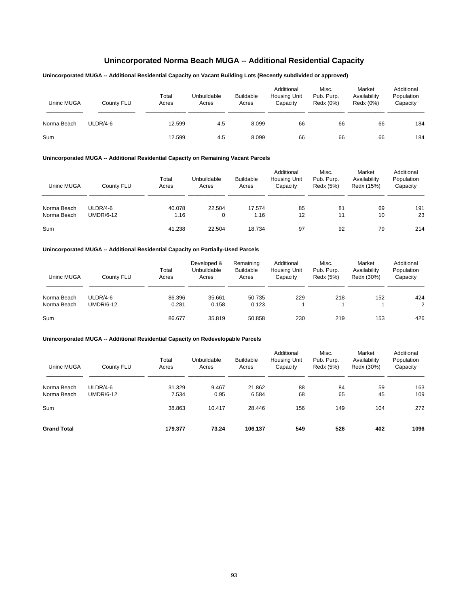# **Unincorporated Norma Beach MUGA -- Additional Residential Capacity**

# **Unincorporated MUGA -- Additional Residential Capacity on Vacant Building Lots (Recently subdivided or approved)**

| Uninc MUGA  | County FLU | Total<br>Acres | Unbuildable<br>Acres | <b>Buildable</b><br>Acres | Additional<br><b>Housing Unit</b><br>Capacity | Misc.<br>Pub. Purp.<br>Redx (0%) | Market<br>Availability<br>Redx (0%) | Additional<br>Population<br>Capacity |
|-------------|------------|----------------|----------------------|---------------------------|-----------------------------------------------|----------------------------------|-------------------------------------|--------------------------------------|
| Norma Beach | ULDR/4-6   | 12.599         | 4.5                  | 8.099                     | 66                                            | 66                               | 66                                  | 184                                  |
| Sum         |            | 12.599         | 4.5                  | 8.099                     | 66                                            | 66                               | 66                                  | 184                                  |

### **Unincorporated MUGA -- Additional Residential Capacity on Remaining Vacant Parcels**

| Uninc MUGA                 | County FLU                     | Total<br>Acres | Unbuildable<br>Acres | <b>Buildable</b><br>Acres | Additional<br><b>Housing Unit</b><br>Capacity | Misc.<br>Pub. Purp.<br>Redx (5%) | Market<br>Availability<br>Redx (15%) | Additional<br>Population<br>Capacity |
|----------------------------|--------------------------------|----------------|----------------------|---------------------------|-----------------------------------------------|----------------------------------|--------------------------------------|--------------------------------------|
| Norma Beach<br>Norma Beach | $ULDR/4-6$<br><b>UMDR/6-12</b> | 40.078<br>1.16 | 22.504<br>0          | 17.574<br>1.16            | 85<br>12                                      | 81<br>11                         | 69<br>10                             | 191<br>23                            |
| Sum                        |                                | 41.238         | 22.504               | 18.734                    | 97                                            | 92                               | 79                                   | 214                                  |

### **Unincorporated MUGA -- Additional Residential Capacity on Partially-Used Parcels**

| Uninc MUGA  | County FLU       | Total<br>Acres | Developed &<br>Unbuildable<br>Acres | Remaining<br><b>Buildable</b><br>Acres | Additional<br><b>Housing Unit</b><br>Capacity | Misc.<br>Pub. Purp.<br>Redx (5%) | Market<br>Availability<br>Redx (30%) | Additional<br>Population<br>Capacity |
|-------------|------------------|----------------|-------------------------------------|----------------------------------------|-----------------------------------------------|----------------------------------|--------------------------------------|--------------------------------------|
| Norma Beach | $ULDR/4-6$       | 86.396         | 35.661                              | 50.735                                 | 229                                           | 218                              | 152                                  | 424                                  |
| Norma Beach | <b>UMDR/6-12</b> | 0.281          | 0.158                               | 0.123                                  |                                               |                                  |                                      | 2                                    |
| Sum         |                  | 86.677         | 35.819                              | 50.858                                 | 230                                           | 219                              | 153                                  | 426                                  |

| Uninc MUGA                 | County FLU                   | Total<br>Acres  | Unbuildable<br>Acres | <b>Buildable</b><br>Acres | Additional<br><b>Housing Unit</b><br>Capacity | Misc.<br>Pub. Purp.<br>Redx (5%) | Market<br>Availability<br>Redx (30%) | Additional<br>Population<br>Capacity |
|----------------------------|------------------------------|-----------------|----------------------|---------------------------|-----------------------------------------------|----------------------------------|--------------------------------------|--------------------------------------|
| Norma Beach<br>Norma Beach | ULDR/4-6<br><b>UMDR/6-12</b> | 31.329<br>7.534 | 9.467<br>0.95        | 21.862<br>6.584           | 88<br>68                                      | 84<br>65                         | 59<br>45                             | 163<br>109                           |
| Sum                        |                              | 38.863          | 10.417               | 28.446                    | 156                                           | 149                              | 104                                  | 272                                  |
| <b>Grand Total</b>         |                              | 179.377         | 73.24                | 106.137                   | 549                                           | 526                              | 402                                  | 1096                                 |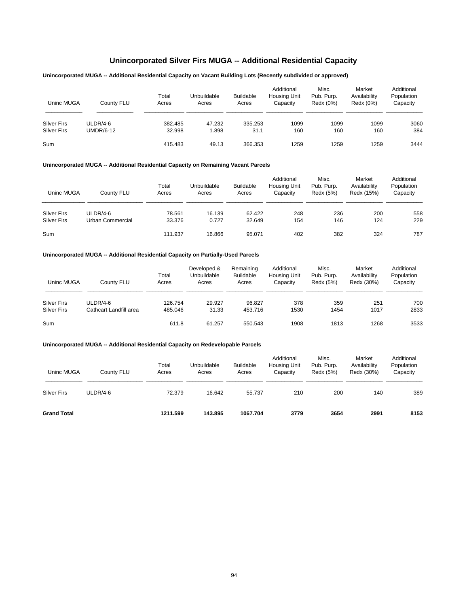# **Unincorporated Silver Firs MUGA -- Additional Residential Capacity**

# **Unincorporated MUGA -- Additional Residential Capacity on Vacant Building Lots (Recently subdivided or approved)**

| Uninc MUGA         | County FLU       | Total<br>Acres | Unbuildable<br>Acres | <b>Buildable</b><br>Acres | Additional<br><b>Housing Unit</b><br>Capacity | Misc.<br>Pub. Purp.<br>Redx (0%) | Market<br>Availability<br>Redx (0%) | Additional<br>Population<br>Capacity |
|--------------------|------------------|----------------|----------------------|---------------------------|-----------------------------------------------|----------------------------------|-------------------------------------|--------------------------------------|
| <b>Silver Firs</b> | $ULDR/4-6$       | 382.485        | 47.232               | 335.253                   | 1099                                          | 1099                             | 1099                                | 3060                                 |
| <b>Silver Firs</b> | <b>UMDR/6-12</b> | 32.998         | 1.898                | 31.1                      | 160                                           | 160                              | 160                                 | 384                                  |
| Sum                |                  | 415.483        | 49.13                | 366.353                   | 1259                                          | 1259                             | 1259                                | 3444                                 |

## **Unincorporated MUGA -- Additional Residential Capacity on Remaining Vacant Parcels**

| Uninc MUGA         | County FLU       | Total<br>Acres | Unbuildable<br>Acres | <b>Buildable</b><br>Acres | Additional<br><b>Housing Unit</b><br>Capacity | Misc.<br>Pub. Purp.<br>Redx (5%) | Market<br>Availability<br>Redx (15%) | Additional<br>Population<br>Capacity |
|--------------------|------------------|----------------|----------------------|---------------------------|-----------------------------------------------|----------------------------------|--------------------------------------|--------------------------------------|
| <b>Silver Firs</b> | $ULDR/4-6$       | 78.561         | 16.139               | 62.422                    | 248                                           | 236                              | 200                                  | 558                                  |
| <b>Silver Firs</b> | Urban Commercial | 33.376         | 0.727                | 32.649                    | 154                                           | 146                              | 124                                  | 229                                  |
| Sum                |                  | 111.937        | 16.866               | 95.071                    | 402                                           | 382                              | 324                                  | 787                                  |

## **Unincorporated MUGA -- Additional Residential Capacity on Partially-Used Parcels**

| Uninc MUGA         | County FLU             | Total<br>Acres | Developed &<br>Unbuildable<br>Acres | Remaining<br><b>Buildable</b><br>Acres | Additional<br><b>Housing Unit</b><br>Capacity | Misc.<br>Pub. Purp.<br>Redx (5%) | Market<br>Availability<br>Redx (30%) | Additional<br>Population<br>Capacity |
|--------------------|------------------------|----------------|-------------------------------------|----------------------------------------|-----------------------------------------------|----------------------------------|--------------------------------------|--------------------------------------|
| <b>Silver Firs</b> | $ULDR/4-6$             | 126.754        | 29.927                              | 96.827                                 | 378                                           | 359                              | 251                                  | 700                                  |
| <b>Silver Firs</b> | Cathcart Landfill area | 485.046        | 31.33                               | 453.716                                | 1530                                          | 1454                             | 1017                                 | 2833                                 |
| Sum                |                        | 611.8          | 61.257                              | 550.543                                | 1908                                          | 1813                             | 1268                                 | 3533                                 |

| Uninc MUGA         | County FLU | Total<br>Acres | Unbuildable<br>Acres | <b>Buildable</b><br>Acres | Additional<br><b>Housing Unit</b><br>Capacity | Misc.<br>Pub. Purp.<br>Redx (5%) | Market<br>Availability<br>Redx (30%) | Additional<br>Population<br>Capacity |
|--------------------|------------|----------------|----------------------|---------------------------|-----------------------------------------------|----------------------------------|--------------------------------------|--------------------------------------|
| <b>Silver Firs</b> | $ULDR/4-6$ | 72.379         | 16.642               | 55.737                    | 210                                           | 200                              | 140                                  | 389                                  |
| <b>Grand Total</b> |            | 1211.599       | 143.895              | 1067.704                  | 3779                                          | 3654                             | 2991                                 | 8153                                 |